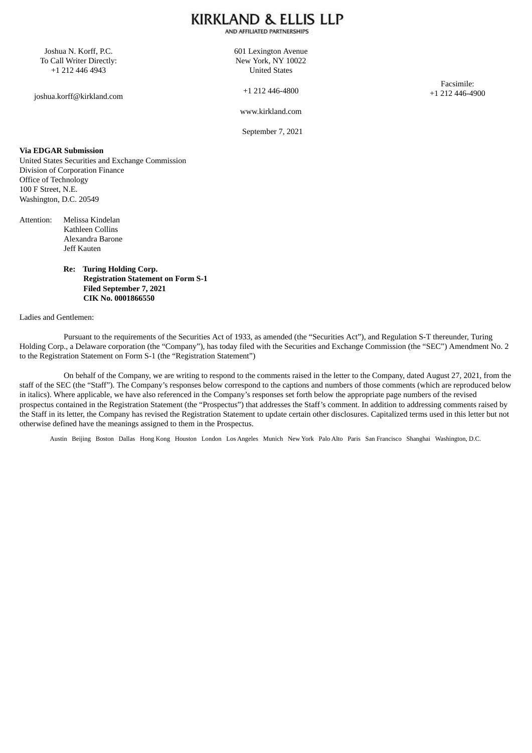AND AFFILIATED PARTNERSHIPS

Joshua N. Korff, P.C. To Call Writer Directly: +1 212 446 4943

joshua.korff@kirkland.com

601 Lexington Avenue New York, NY 10022 United States

+1 212 446-4800

Facsimile: +1 212 446-4900

www.kirkland.com

September 7, 2021

### **Via EDGAR Submission**

United States Securities and Exchange Commission Division of Corporation Finance Office of Technology 100 F Street, N.E. Washington, D.C. 20549

- Attention: Melissa Kindelan Kathleen Collins Alexandra Barone Jeff Kauten
	- **Re: Turing Holding Corp. Registration Statement on Form S-1 Filed September 7, 2021 CIK No. 0001866550**

#### Ladies and Gentlemen:

Pursuant to the requirements of the Securities Act of 1933, as amended (the "Securities Act"), and Regulation S-T thereunder, Turing Holding Corp., a Delaware corporation (the "Company"), has today filed with the Securities and Exchange Commission (the "SEC") Amendment No. 2 to the Registration Statement on Form S-1 (the "Registration Statement")

On behalf of the Company, we are writing to respond to the comments raised in the letter to the Company, dated August 27, 2021, from the staff of the SEC (the "Staff"). The Company's responses below correspond to the captions and numbers of those comments (which are reproduced below in italics). Where applicable, we have also referenced in the Company's responses set forth below the appropriate page numbers of the revised prospectus contained in the Registration Statement (the "Prospectus") that addresses the Staff's comment. In addition to addressing comments raised by the Staff in its letter, the Company has revised the Registration Statement to update certain other disclosures. Capitalized terms used in this letter but not otherwise defined have the meanings assigned to them in the Prospectus.

Austin Beijing Boston Dallas Hong Kong Houston London Los Angeles Munich New York Palo Alto Paris San Francisco Shanghai Washington, D.C.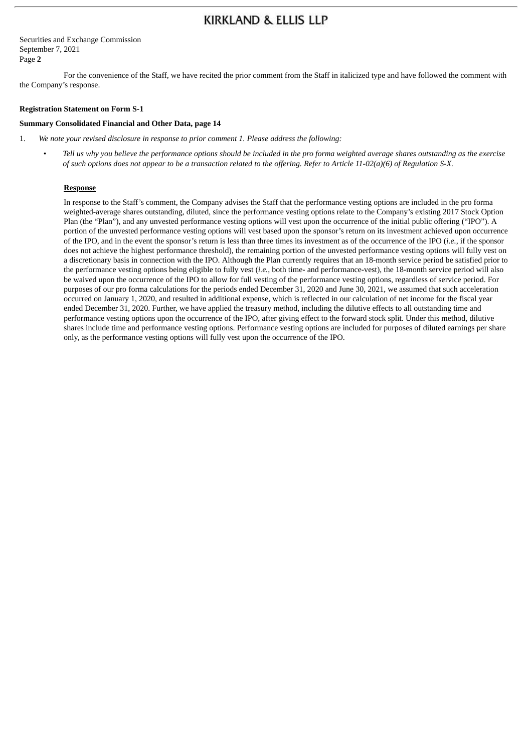Securities and Exchange Commission September 7, 2021 Page **2**

For the convenience of the Staff, we have recited the prior comment from the Staff in italicized type and have followed the comment with the Company's response.

#### **Registration Statement on Form S-1**

#### **Summary Consolidated Financial and Other Data, page 14**

- 1. *We note your revised disclosure in response to prior comment 1. Please address the following:*
	- Tell us why you believe the performance options should be included in the pro forma weighted average shares outstanding as the exercise of such options does not appear to be a transaction related to the offering. Refer to Article 11-02(a)(6) of Regulation S-X.

#### **Response**

In response to the Staff's comment, the Company advises the Staff that the performance vesting options are included in the pro forma weighted-average shares outstanding, diluted, since the performance vesting options relate to the Company's existing 2017 Stock Option Plan (the "Plan"), and any unvested performance vesting options will vest upon the occurrence of the initial public offering ("IPO"). A portion of the unvested performance vesting options will vest based upon the sponsor's return on its investment achieved upon occurrence of the IPO, and in the event the sponsor's return is less than three times its investment as of the occurrence of the IPO (*i.e.*, if the sponsor does not achieve the highest performance threshold), the remaining portion of the unvested performance vesting options will fully vest on a discretionary basis in connection with the IPO. Although the Plan currently requires that an 18-month service period be satisfied prior to the performance vesting options being eligible to fully vest (*i.e.*, both time- and performance-vest), the 18-month service period will also be waived upon the occurrence of the IPO to allow for full vesting of the performance vesting options, regardless of service period. For purposes of our pro forma calculations for the periods ended December 31, 2020 and June 30, 2021, we assumed that such acceleration occurred on January 1, 2020, and resulted in additional expense, which is reflected in our calculation of net income for the fiscal year ended December 31, 2020. Further, we have applied the treasury method, including the dilutive effects to all outstanding time and performance vesting options upon the occurrence of the IPO, after giving effect to the forward stock split. Under this method, dilutive shares include time and performance vesting options. Performance vesting options are included for purposes of diluted earnings per share only, as the performance vesting options will fully vest upon the occurrence of the IPO.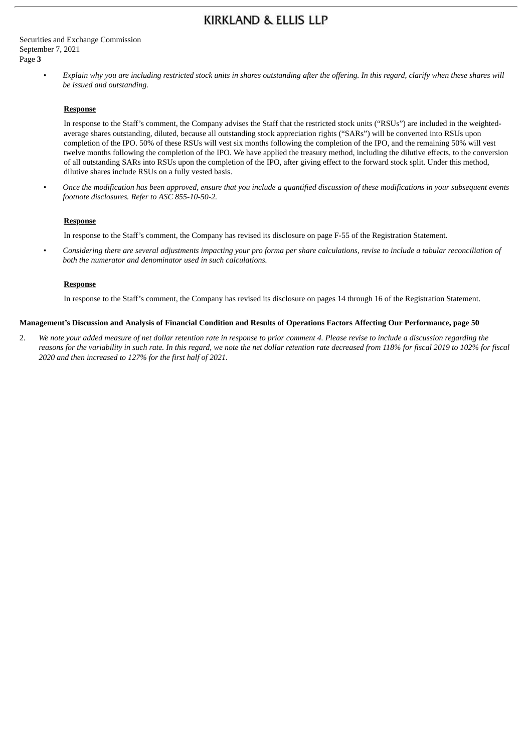Securities and Exchange Commission September 7, 2021 Page **3**

> Explain why you are including restricted stock units in shares outstanding after the offering. In this regard, clarify when these shares will *be issued and outstanding.*

#### **Response**

In response to the Staff's comment, the Company advises the Staff that the restricted stock units ("RSUs") are included in the weightedaverage shares outstanding, diluted, because all outstanding stock appreciation rights ("SARs") will be converted into RSUs upon completion of the IPO. 50% of these RSUs will vest six months following the completion of the IPO, and the remaining 50% will vest twelve months following the completion of the IPO. We have applied the treasury method, including the dilutive effects, to the conversion of all outstanding SARs into RSUs upon the completion of the IPO, after giving effect to the forward stock split. Under this method, dilutive shares include RSUs on a fully vested basis.

Once the modification has been approved, ensure that you include a quantified discussion of these modifications in your subsequent events *footnote disclosures. Refer to ASC 855-10-50-2.*

#### **Response**

In response to the Staff's comment, the Company has revised its disclosure on page F-55 of the Registration Statement.

Considering there are several adjustments impacting your pro forma per share calculations, revise to include a tabular reconciliation of *both the numerator and denominator used in such calculations.*

#### **Response**

In response to the Staff's comment, the Company has revised its disclosure on pages 14 through 16 of the Registration Statement.

#### Management's Discussion and Analysis of Financial Condition and Results of Operations Factors Affecting Our Performance, page 50

2. We note your added measure of net dollar retention rate in response to prior comment 4. Please revise to include a discussion regarding the reasons for the variability in such rate. In this regard, we note the net dollar retention rate decreased from 118% for fiscal 2019 to 102% for fiscal *2020 and then increased to 127% for the first half of 2021.*